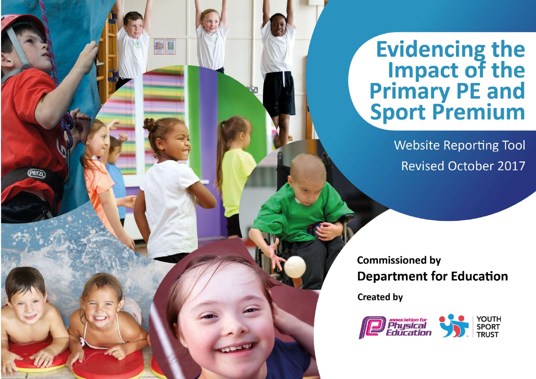**Evidencing the<br>Impact of the<br>Primary PE and<br>Sport Premium** 

**Website Reporting Tool Revised October 2017** 

**Commissioned by Department for Education** 

**Created by** 

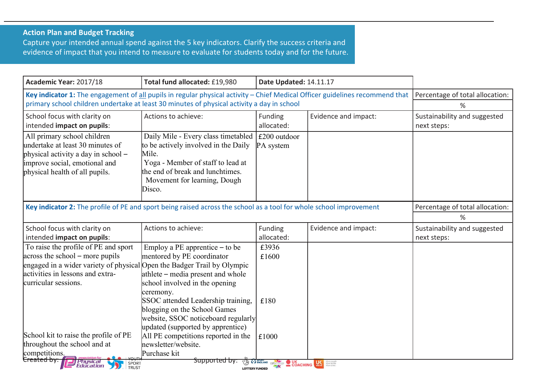## Action Plan and Budget Tracking

Capture your intended annual spend against the 5 key indicators. Clarify the success criteria and evidence of impact that you intend to measure to evaluate for students today and for the future.

| Academic Year: 2017/18                                                                                                                                                                                                                                                                                                                                                    | Total fund allocated: £19,980                                                                                                                                                                                                                                                                                                                                                                                 | Date Updated: 14.11.17                                    |                                   |                                             |
|---------------------------------------------------------------------------------------------------------------------------------------------------------------------------------------------------------------------------------------------------------------------------------------------------------------------------------------------------------------------------|---------------------------------------------------------------------------------------------------------------------------------------------------------------------------------------------------------------------------------------------------------------------------------------------------------------------------------------------------------------------------------------------------------------|-----------------------------------------------------------|-----------------------------------|---------------------------------------------|
| Key indicator 1: The engagement of all pupils in regular physical activity - Chief Medical Officer guidelines recommend that                                                                                                                                                                                                                                              |                                                                                                                                                                                                                                                                                                                                                                                                               |                                                           |                                   | Percentage of total allocation:             |
| primary school children undertake at least 30 minutes of physical activity a day in school                                                                                                                                                                                                                                                                                |                                                                                                                                                                                                                                                                                                                                                                                                               |                                                           |                                   | %                                           |
| School focus with clarity on<br>intended impact on pupils:                                                                                                                                                                                                                                                                                                                | Actions to achieve:                                                                                                                                                                                                                                                                                                                                                                                           | Funding<br>allocated:                                     | Evidence and impact:              | Sustainability and suggested<br>next steps: |
| All primary school children<br>undertake at least 30 minutes of<br>physical activity a day in school -<br>improve social, emotional and<br>physical health of all pupils.                                                                                                                                                                                                 | Daily Mile - Every class timetabled<br>to be actively involved in the Daily<br>Mile.<br>Yoga - Member of staff to lead at<br>the end of break and lunchtimes.<br>Movement for learning, Dough<br>Disco.                                                                                                                                                                                                       | £200 outdoor<br>PA system                                 |                                   |                                             |
| Key indicator 2: The profile of PE and sport being raised across the school as a tool for whole school improvement                                                                                                                                                                                                                                                        | Percentage of total allocation:<br>%                                                                                                                                                                                                                                                                                                                                                                          |                                                           |                                   |                                             |
| School focus with clarity on<br>intended impact on pupils:                                                                                                                                                                                                                                                                                                                | Actions to achieve:                                                                                                                                                                                                                                                                                                                                                                                           | Funding<br>allocated:                                     | Evidence and impact:              | Sustainability and suggested<br>next steps: |
| To raise the profile of PE and sport<br>across the school – more pupils<br>engaged in a wider variety of physical Open the Badger Trail by Olympic<br>activities in lessons and extra-<br>curricular sessions.<br>School kit to raise the profile of PE<br>throughout the school and at<br>competitions.<br><del>Created by:</del><br><i>Physical</i><br><i>Education</i> | Employ a PE apprentice $-$ to be<br>mentored by PE coordinator<br>athlete – media present and whole<br>school involved in the opening<br>ceremony.<br>SSOC attended Leadership training,<br>blogging on the School Games<br>website, SSOC noticeboard regularly<br>updated (supported by apprentice)<br>All PE competitions reported in the<br>newsletter/website.<br>Purchase kit<br><del>Supported by</del> | £3936<br>£1600<br>£180<br>£1000<br>TO TENGLAND CSPNETWORK | <b>OUK COACHING LAW MODERNIST</b> |                                             |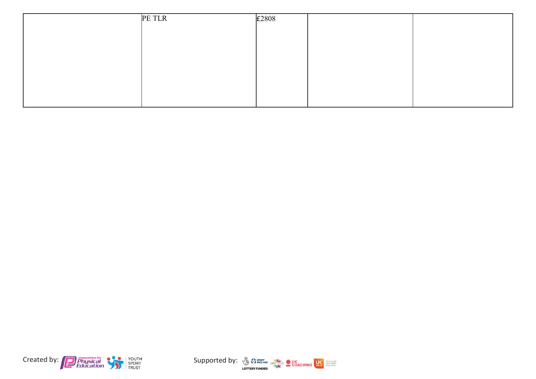| PE TLR | £2808 |  |
|--------|-------|--|
|        |       |  |
|        |       |  |
|        |       |  |
|        |       |  |
|        |       |  |
|        |       |  |
|        |       |  |
|        |       |  |



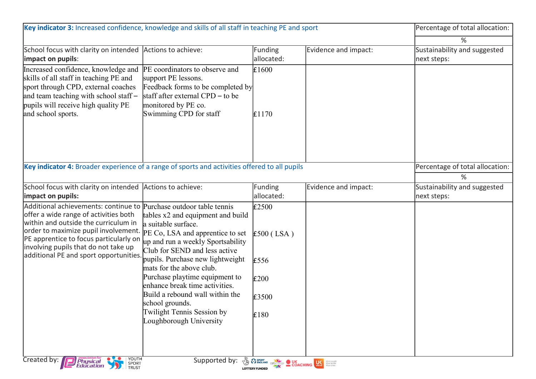| Key indicator 3: Increased confidence, knowledge and skills of all staff in teaching PE and sport                                                                                                                                                                                                                                                                                  |                                                                                                                                                                                                                                                                                                                                                                                   |                                                                                                                                                                                                                                      |                      | Percentage of total allocation:             |
|------------------------------------------------------------------------------------------------------------------------------------------------------------------------------------------------------------------------------------------------------------------------------------------------------------------------------------------------------------------------------------|-----------------------------------------------------------------------------------------------------------------------------------------------------------------------------------------------------------------------------------------------------------------------------------------------------------------------------------------------------------------------------------|--------------------------------------------------------------------------------------------------------------------------------------------------------------------------------------------------------------------------------------|----------------------|---------------------------------------------|
|                                                                                                                                                                                                                                                                                                                                                                                    |                                                                                                                                                                                                                                                                                                                                                                                   |                                                                                                                                                                                                                                      |                      | ℅                                           |
| School focus with clarity on intended Actions to achieve:<br>impact on pupils:                                                                                                                                                                                                                                                                                                     |                                                                                                                                                                                                                                                                                                                                                                                   | Funding<br>allocated:                                                                                                                                                                                                                | Evidence and impact: | Sustainability and suggested<br>next steps: |
| Increased confidence, knowledge and PE coordinators to observe and<br>skills of all staff in teaching PE and<br>sport through CPD, external coaches<br>and team teaching with school staff -<br>pupils will receive high quality PE<br>and school sports.                                                                                                                          | support PE lessons.<br>Feedback forms to be completed by<br>staff after external CPD – to be<br>monitored by PE co.<br>Swimming CPD for staff                                                                                                                                                                                                                                     | E1600<br>E1170                                                                                                                                                                                                                       |                      |                                             |
| Key indicator 4: Broader experience of a range of sports and activities offered to all pupils                                                                                                                                                                                                                                                                                      |                                                                                                                                                                                                                                                                                                                                                                                   |                                                                                                                                                                                                                                      |                      | Percentage of total allocation:             |
|                                                                                                                                                                                                                                                                                                                                                                                    |                                                                                                                                                                                                                                                                                                                                                                                   |                                                                                                                                                                                                                                      |                      | %                                           |
| School focus with clarity on intended Actions to achieve:<br>impact on pupils:                                                                                                                                                                                                                                                                                                     |                                                                                                                                                                                                                                                                                                                                                                                   | Funding<br>allocated:                                                                                                                                                                                                                | Evidence and impact: | Sustainability and suggested<br>next steps: |
| Additional achievements: continue to Purchase outdoor table tennis<br>offer a wide range of activities both<br>within and outside the curriculum in<br>order to maximize pupil involvement. $ {\rm p_{E}}\,{\rm Co},\,{\rm LSA}$ and apprentice to set<br>PE apprentice to focus particularly on<br>involving pupils that do not take up<br>additional PE and sport opportunities. | tables x2 and equipment and build<br>a suitable surface.<br>up and run a weekly Sportsability<br>Club for SEND and less active<br>pupils. Purchase new lightweight<br>mats for the above club.<br>Purchase playtime equipment to<br>enhance break time activities.<br>Build a rebound wall within the<br>school grounds.<br>Twilight Tennis Session by<br>Loughborough University | £2500<br>$£500$ (LSA)<br>£556<br>E200<br>£3500<br>£180                                                                                                                                                                               |                      |                                             |
| YOUTH<br>SPORT<br>TRUST<br>Created by:<br><b>Physical</b><br>Education<br>55                                                                                                                                                                                                                                                                                                       | Supported by:                                                                                                                                                                                                                                                                                                                                                                     | <b>THE REPORT OF STRAIGHT COACHING LAW REPORT OF THE REAL PROPERTY OF THE REAL PROPERTY OF THE REAL PROPERTY OF THE REAL PROPERTY OF THE REAL PROPERTY OF THE REAL PROPERTY OF THE REAL PROPERTY OF THE REAL PROPERTY OF THE REA</b> |                      |                                             |